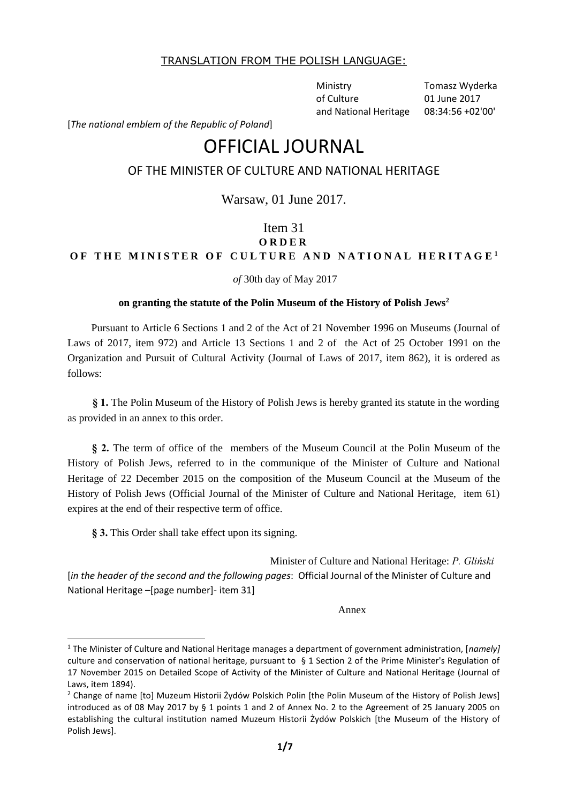## TRANSLATION FROM THE POLISH LANGUAGE:

Ministry of Culture and National Heritage Tomasz Wyderka 01 June 2017 08:34:56 +02'00'

[*The national emblem of the Republic of Poland*]

# OFFICIAL JOURNAL

# OF THE MINISTER OF CULTURE AND NATIONAL HERITAGE

Warsaw, 01 June 2017.

# Item 31 **O R D E R**  OF THE MINISTER OF CULTURE AND NATIONAL HERITAGE<sup>1</sup>

*of* 30th day of May 2017

### **on granting the statute of the Polin Museum of the History of Polish Jews<sup>2</sup>**

Pursuant to Article 6 Sections 1 and 2 of the Act of 21 November 1996 on Museums (Journal of Laws of 2017, item 972) and Article 13 Sections 1 and 2 of the Act of 25 October 1991 on the Organization and Pursuit of Cultural Activity (Journal of Laws of 2017, item 862), it is ordered as follows:

**§ 1.** The Polin Museum of the History of Polish Jews is hereby granted its statute in the wording as provided in an annex to this order.

**§ 2.** The term of office of the members of the Museum Council at the Polin Museum of the History of Polish Jews, referred to in the communique of the Minister of Culture and National Heritage of 22 December 2015 on the composition of the Museum Council at the Museum of the History of Polish Jews (Official Journal of the Minister of Culture and National Heritage, item 61) expires at the end of their respective term of office.

**§ 3.** This Order shall take effect upon its signing.

**.** 

Minister of Culture and National Heritage: *P. Gliński* [*in the header of the second and the following pages*: Official Journal of the Minister of Culture and National Heritage –[page number]- item 31]

Annex

<sup>1</sup> The Minister of Culture and National Heritage manages a department of government administration, [*namely]* culture and conservation of national heritage, pursuant to § 1 Section 2 of the Prime Minister's Regulation of 17 November 2015 on Detailed Scope of Activity of the Minister of Culture and National Heritage (Journal of Laws, item 1894).

<sup>&</sup>lt;sup>2</sup> Change of name [to] Muzeum Historii Żydów Polskich Polin [the Polin Museum of the History of Polish Jews] introduced as of 08 May 2017 by § 1 points 1 and 2 of Annex No. 2 to the Agreement of 25 January 2005 on establishing the cultural institution named Muzeum Historii Żydów Polskich [the Museum of the History of Polish Jews].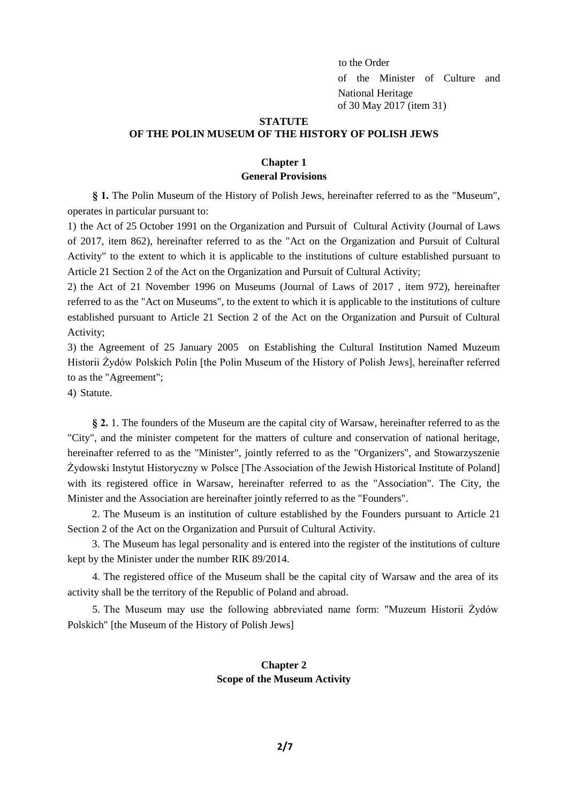to the Order of the Minister of Culture and National Heritage of 30 May 2017 (item 31)

### **STATUTE**

#### **OF THE POLIN MUSEUM OF THE HISTORY OF POLISH JEWS**

## **Chapter 1 General Provisions**

**§ 1.** The Polin Museum of the History of Polish Jews, hereinafter referred to as the "Museum", operates in particular pursuant to:

1) the Act of 25 October 1991 on the Organization and Pursuit of Cultural Activity (Journal of Laws of 2017, item 862), hereinafter referred to as the "Act on the Organization and Pursuit of Cultural Activity" to the extent to which it is applicable to the institutions of culture established pursuant to Article 21 Section 2 of the Act on the Organization and Pursuit of Cultural Activity;

2) the Act of 21 November 1996 on Museums (Journal of Laws of 2017 , item 972), hereinafter referred to as the "Act on Museums", to the extent to which it is applicable to the institutions of culture established pursuant to Article 21 Section 2 of the Act on the Organization and Pursuit of Cultural Activity;

3) the Agreement of 25 January 2005 on Establishing the Cultural Institution Named Muzeum Historii Żydów Polskich Polin [the Polin Museum of the History of Polish Jews], hereinafter referred to as the "Agreement";

4) Statute.

**§ 2.** 1. The founders of the Museum are the capital city of Warsaw, hereinafter referred to as the "City", and the minister competent for the matters of culture and conservation of national heritage, hereinafter referred to as the "Minister", jointly referred to as the "Organizers", and Stowarzyszenie Żydowski Instytut Historyczny w Polsce [The Association of the Jewish Historical Institute of Poland] with its registered office in Warsaw, hereinafter referred to as the "Association". The City, the Minister and the Association are hereinafter jointly referred to as the "Founders".

2. The Museum is an institution of culture established by the Founders pursuant to Article 21 Section 2 of the Act on the Organization and Pursuit of Cultural Activity.

3. The Museum has legal personality and is entered into the register of the institutions of culture kept by the Minister under the number RIK 89/2014.

4. The registered office of the Museum shall be the capital city of Warsaw and the area of its activity shall be the territory of the Republic of Poland and abroad.

5. The Museum may use the following abbreviated name form: "Muzeum Historii Żydów Polskich" [the Museum of the History of Polish Jews]

# **Chapter 2 Scope of the Museum Activity**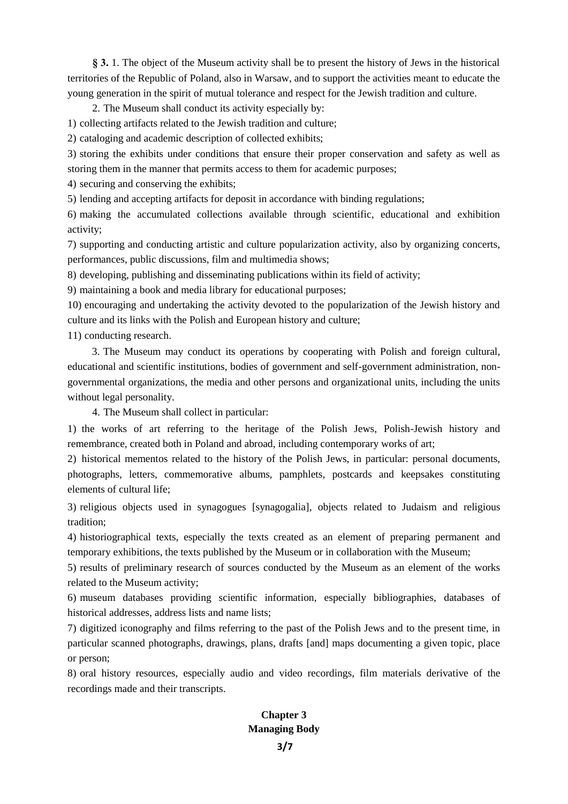**§ 3.** 1. The object of the Museum activity shall be to present the history of Jews in the historical territories of the Republic of Poland, also in Warsaw, and to support the activities meant to educate the young generation in the spirit of mutual tolerance and respect for the Jewish tradition and culture.

2. The Museum shall conduct its activity especially by:

1) collecting artifacts related to the Jewish tradition and culture;

2) cataloging and academic description of collected exhibits;

3) storing the exhibits under conditions that ensure their proper conservation and safety as well as storing them in the manner that permits access to them for academic purposes;

4) securing and conserving the exhibits;

5) lending and accepting artifacts for deposit in accordance with binding regulations;

6) making the accumulated collections available through scientific, educational and exhibition activity;

7) supporting and conducting artistic and culture popularization activity, also by organizing concerts, performances, public discussions, film and multimedia shows;

8) developing, publishing and disseminating publications within its field of activity;

9) maintaining a book and media library for educational purposes;

10) encouraging and undertaking the activity devoted to the popularization of the Jewish history and culture and its links with the Polish and European history and culture;

11) conducting research.

3. The Museum may conduct its operations by cooperating with Polish and foreign cultural, educational and scientific institutions, bodies of government and self-government administration, nongovernmental organizations, the media and other persons and organizational units, including the units without legal personality.

4. The Museum shall collect in particular:

1) the works of art referring to the heritage of the Polish Jews, Polish-Jewish history and remembrance, created both in Poland and abroad, including contemporary works of art;

2) historical mementos related to the history of the Polish Jews, in particular: personal documents, photographs, letters, commemorative albums, pamphlets, postcards and keepsakes constituting elements of cultural life;

3) religious objects used in synagogues [synagogalia], objects related to Judaism and religious tradition;

4) historiographical texts, especially the texts created as an element of preparing permanent and temporary exhibitions, the texts published by the Museum or in collaboration with the Museum;

5) results of preliminary research of sources conducted by the Museum as an element of the works related to the Museum activity;

6) museum databases providing scientific information, especially bibliographies, databases of historical addresses, address lists and name lists;

7) digitized iconography and films referring to the past of the Polish Jews and to the present time, in particular scanned photographs, drawings, plans, drafts [and] maps documenting a given topic, place or person;

8) oral history resources, especially audio and video recordings, film materials derivative of the recordings made and their transcripts.

## **Chapter 3 Managing Body**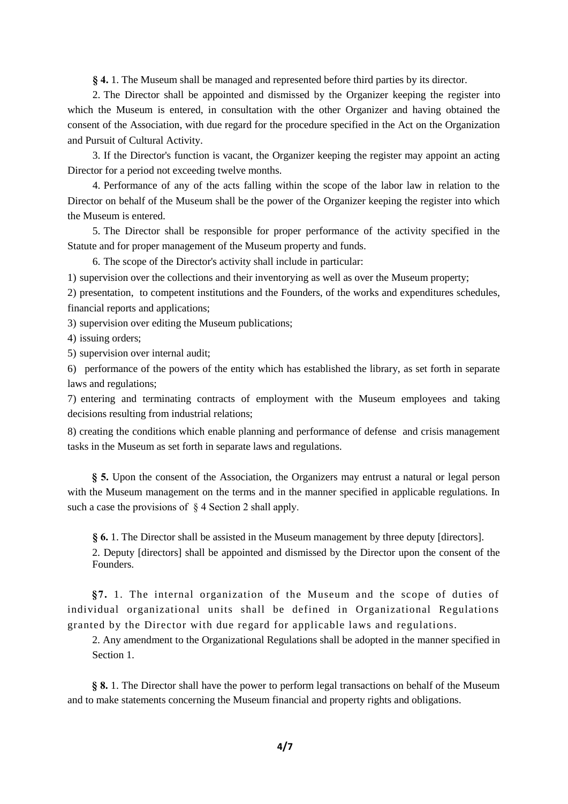**§ 4.** 1. The Museum shall be managed and represented before third parties by its director.

2. The Director shall be appointed and dismissed by the Organizer keeping the register into which the Museum is entered, in consultation with the other Organizer and having obtained the consent of the Association, with due regard for the procedure specified in the Act on the Organization and Pursuit of Cultural Activity.

3. If the Director's function is vacant, the Organizer keeping the register may appoint an acting Director for a period not exceeding twelve months.

4. Performance of any of the acts falling within the scope of the labor law in relation to the Director on behalf of the Museum shall be the power of the Organizer keeping the register into which the Museum is entered.

5. The Director shall be responsible for proper performance of the activity specified in the Statute and for proper management of the Museum property and funds.

6. The scope of the Director's activity shall include in particular:

1) supervision over the collections and their inventorying as well as over the Museum property;

2) presentation, to competent institutions and the Founders, of the works and expenditures schedules, financial reports and applications;

3) supervision over editing the Museum publications;

4) issuing orders;

5) supervision over internal audit;

6) performance of the powers of the entity which has established the library, as set forth in separate laws and regulations;

7) entering and terminating contracts of employment with the Museum employees and taking decisions resulting from industrial relations;

8) creating the conditions which enable planning and performance of defense and crisis management tasks in the Museum as set forth in separate laws and regulations.

**§ 5.** Upon the consent of the Association, the Organizers may entrust a natural or legal person with the Museum management on the terms and in the manner specified in applicable regulations. In such a case the provisions of  $\S$  4 Section 2 shall apply.

**§ 6.** 1. The Director shall be assisted in the Museum management by three deputy [directors]. 2. Deputy [directors] shall be appointed and dismissed by the Director upon the consent of the Founders.

**§7.** 1. The internal organization of the Museum and the scope of duties of individual organizational units shall be defined in Organizational Regulations granted by the Director with due regard for applicable laws and regulations.

2. Any amendment to the Organizational Regulations shall be adopted in the manner specified in Section 1

**§ 8.** 1. The Director shall have the power to perform legal transactions on behalf of the Museum and to make statements concerning the Museum financial and property rights and obligations.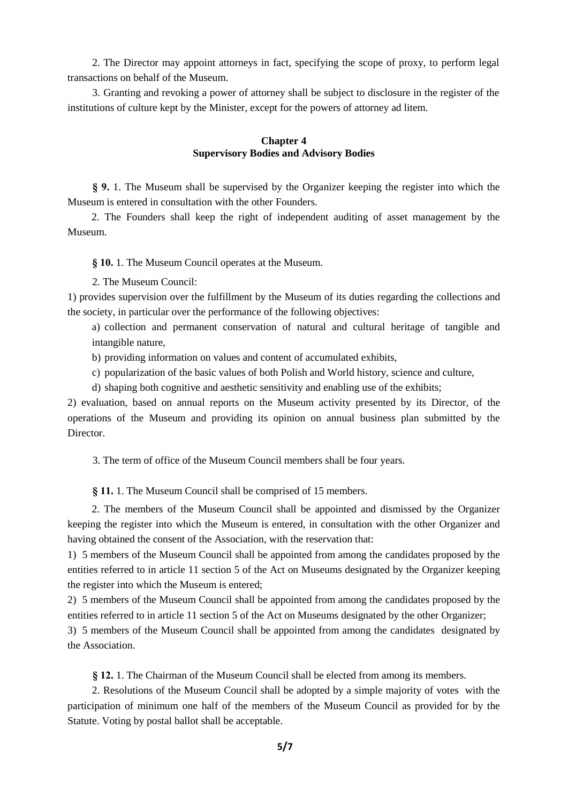2. The Director may appoint attorneys in fact, specifying the scope of proxy, to perform legal transactions on behalf of the Museum.

3. Granting and revoking a power of attorney shall be subject to disclosure in the register of the institutions of culture kept by the Minister, except for the powers of attorney ad litem.

## **Chapter 4 Supervisory Bodies and Advisory Bodies**

**§ 9.** 1. The Museum shall be supervised by the Organizer keeping the register into which the Museum is entered in consultation with the other Founders.

2. The Founders shall keep the right of independent auditing of asset management by the Museum.

**§ 10.** 1. The Museum Council operates at the Museum.

2. The Museum Council:

1) provides supervision over the fulfillment by the Museum of its duties regarding the collections and the society, in particular over the performance of the following objectives:

a) collection and permanent conservation of natural and cultural heritage of tangible and intangible nature,

b) providing information on values and content of accumulated exhibits,

c) popularization of the basic values of both Polish and World history, science and culture,

d) shaping both cognitive and aesthetic sensitivity and enabling use of the exhibits;

2) evaluation, based on annual reports on the Museum activity presented by its Director, of the operations of the Museum and providing its opinion on annual business plan submitted by the Director.

3. The term of office of the Museum Council members shall be four years.

**§ 11.** 1. The Museum Council shall be comprised of 15 members.

2. The members of the Museum Council shall be appointed and dismissed by the Organizer keeping the register into which the Museum is entered, in consultation with the other Organizer and having obtained the consent of the Association, with the reservation that:

1) 5 members of the Museum Council shall be appointed from among the candidates proposed by the entities referred to in article 11 section 5 of the Act on Museums designated by the Organizer keeping the register into which the Museum is entered;

2) 5 members of the Museum Council shall be appointed from among the candidates proposed by the entities referred to in article 11 section 5 of the Act on Museums designated by the other Organizer;

3) 5 members of the Museum Council shall be appointed from among the candidates designated by the Association.

**§ 12.** 1. The Chairman of the Museum Council shall be elected from among its members.

2. Resolutions of the Museum Council shall be adopted by a simple majority of votes with the participation of minimum one half of the members of the Museum Council as provided for by the Statute. Voting by postal ballot shall be acceptable.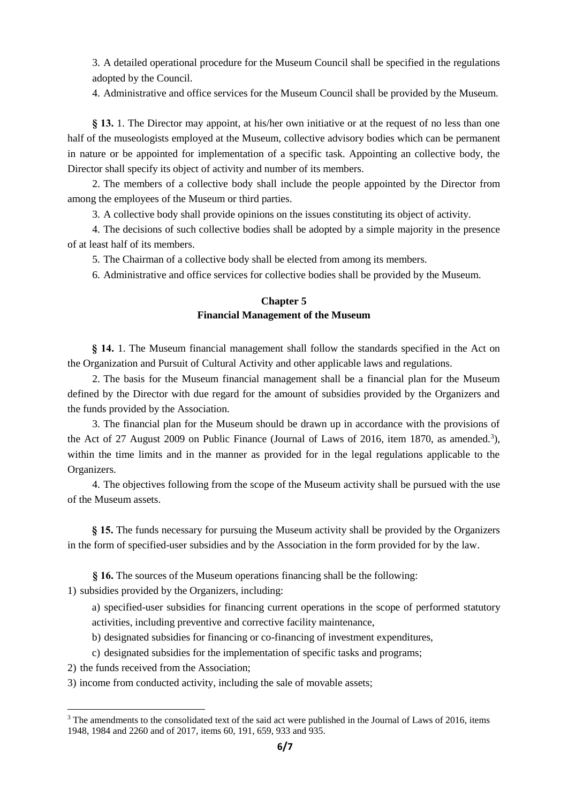3. A detailed operational procedure for the Museum Council shall be specified in the regulations adopted by the Council.

4. Administrative and office services for the Museum Council shall be provided by the Museum.

**§ 13.** 1. The Director may appoint, at his/her own initiative or at the request of no less than one half of the museologists employed at the Museum, collective advisory bodies which can be permanent in nature or be appointed for implementation of a specific task. Appointing an collective body, the Director shall specify its object of activity and number of its members.

2. The members of a collective body shall include the people appointed by the Director from among the employees of the Museum or third parties.

3. A collective body shall provide opinions on the issues constituting its object of activity.

4. The decisions of such collective bodies shall be adopted by a simple majority in the presence of at least half of its members.

5. The Chairman of a collective body shall be elected from among its members.

6. Administrative and office services for collective bodies shall be provided by the Museum.

## **Chapter 5 Financial Management of the Museum**

**§ 14.** 1. The Museum financial management shall follow the standards specified in the Act on the Organization and Pursuit of Cultural Activity and other applicable laws and regulations.

2. The basis for the Museum financial management shall be a financial plan for the Museum defined by the Director with due regard for the amount of subsidies provided by the Organizers and the funds provided by the Association.

3. The financial plan for the Museum should be drawn up in accordance with the provisions of the Act of 27 August 2009 on Public Finance (Journal of Laws of 2016, item 1870, as amended.<sup>3</sup>), within the time limits and in the manner as provided for in the legal regulations applicable to the Organizers.

4. The objectives following from the scope of the Museum activity shall be pursued with the use of the Museum assets.

**§ 15.** The funds necessary for pursuing the Museum activity shall be provided by the Organizers in the form of specified-user subsidies and by the Association in the form provided for by the law.

**§ 16.** The sources of the Museum operations financing shall be the following:

1) subsidies provided by the Organizers, including:

a) specified-user subsidies for financing current operations in the scope of performed statutory activities, including preventive and corrective facility maintenance,

- b) designated subsidies for financing or co-financing of investment expenditures,
- c) designated subsidies for the implementation of specific tasks and programs;
- 2) the funds received from the Association;

**.** 

3) income from conducted activity, including the sale of movable assets;

<sup>&</sup>lt;sup>3</sup> The amendments to the consolidated text of the said act were published in the Journal of Laws of 2016, items 1948, 1984 and 2260 and of 2017, items 60, 191, 659, 933 and 935.